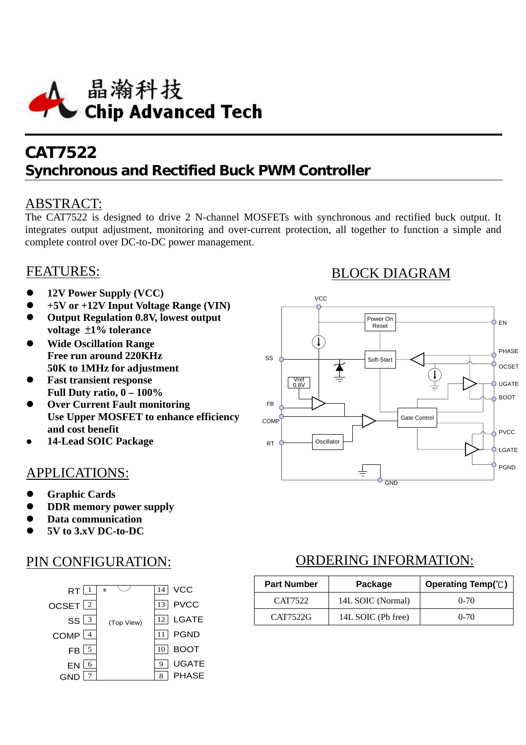

# **CAT7522 Synchronous and Rectified Buck PWM Controller**

### ABSTRACT:

The CAT7522 is designed to drive 2 N-channel MOSFETs with synchronous and rectified buck output. It integrates output adjustment, monitoring and over-current protection, all together to function a simple and complete control over DC-to-DC power management.

## FEATURES:

- z **12V Power Supply (VCC)**
- z **+5V or +12V Input Voltage Range (VIN)**
- z **Output Regulation 0.8V, lowest output voltage** ±**1% tolerance**
- **•** Wide Oscillation Range **Free run around 220KHz 50K to 1MHz for adjustment**
- **Fast transient response Full Duty ratio, 0 – 100%**
- **Over Current Fault monitoring Use Upper MOSFET to enhance efficiency and cost benefit**
- **and cost benefit<br>• 14-Lead SOIC Package**

## APPLICATIONS:

- z **Graphic Cards**
- **DDR memory power supply**
- z **Data communication**
- z **5V to 3.xV DC-to-DC**

## PIN CONFIGURATION:



## BLOCK DIAGRAM



## ORDERING INFORMATION:

| <b>Part Number</b> | Package            | Operating Temp(°C) |
|--------------------|--------------------|--------------------|
| CAT7522            | 14L SOIC (Normal)  | $0 - 70$           |
| CAT7522G           | 14L SOIC (Pb free) | $0 - 70$           |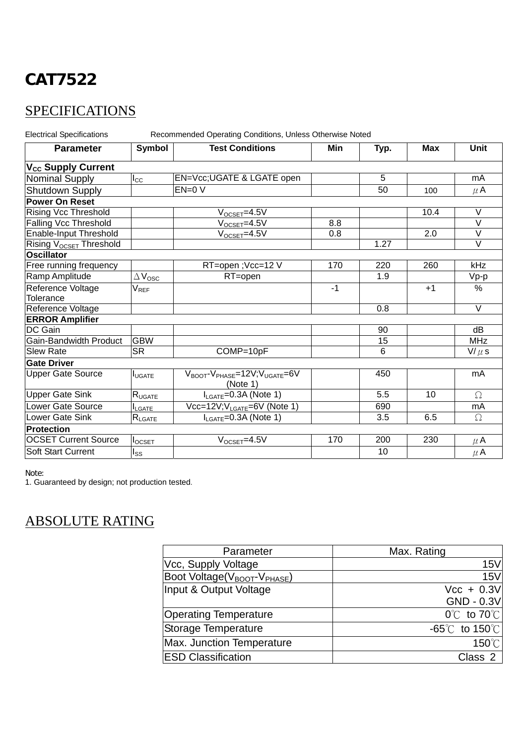# **SPECIFICATIONS**

Electrical Specifications Recommended Operating Conditions, Unless Otherwise Noted

| <b>Parameter</b>                    | Symbol                      | <b>Test Conditions</b>                                                          | Min  | Typ. | <b>Max</b> | <b>Unit</b>       |
|-------------------------------------|-----------------------------|---------------------------------------------------------------------------------|------|------|------------|-------------------|
| V <sub>cc</sub> Supply Current      |                             |                                                                                 |      |      |            |                   |
| <b>Nominal Supply</b>               | $I_{\rm CC}$                | EN=Vcc; UGATE & LGATE open                                                      |      | 5    |            | mA                |
| Shutdown Supply                     |                             | $EN=0 V$                                                                        |      | 50   | 100        | $\mu$ A           |
| <b>Power On Reset</b>               |                             |                                                                                 |      |      |            |                   |
| <b>Rising Vcc Threshold</b>         |                             | $V_{OCSET} = 4.5V$                                                              |      |      | 10.4       | V                 |
| Falling Vcc Threshold               |                             | $V_{OCSET}$ =4.5V                                                               | 8.8  |      |            | $\vee$            |
| Enable-Input Threshold              |                             | $V_{OCSET}$ =4.5V                                                               | 0.8  |      | 2.0        | V                 |
| Rising V <sub>OCSET</sub> Threshold |                             |                                                                                 |      | 1.27 |            | $\vee$            |
| <b>Oscillator</b>                   |                             |                                                                                 |      |      |            |                   |
| Free running frequency              |                             | RT=open ; Vcc=12 V                                                              | 170  | 220  | 260        | kHz               |
| Ramp Amplitude                      | $\Delta V_{\rm{OSC}}$       | RT=open                                                                         |      | 1.9  |            | Vp-p              |
| Reference Voltage                   | $\mathsf{V}_{\mathsf{REF}}$ |                                                                                 | $-1$ |      | $+1$       | $\frac{0}{0}$     |
| Tolerance                           |                             |                                                                                 |      |      |            |                   |
| Reference Voltage                   |                             |                                                                                 |      | 0.8  |            | $\overline{\vee}$ |
| <b>ERROR Amplifier</b>              |                             |                                                                                 |      |      |            |                   |
| DC Gain                             |                             |                                                                                 |      | 90   |            | dB                |
| Gain-Bandwidth Product              | <b>GBW</b>                  |                                                                                 |      | 15   |            | <b>MHz</b>        |
| <b>Slew Rate</b>                    | <b>SR</b>                   | COMP=10pF                                                                       |      | 6    |            | $V/\mu$ s         |
| <b>Gate Driver</b>                  |                             |                                                                                 |      |      |            |                   |
| <b>Upper Gate Source</b>            | <b>I</b> UGATE              | $V_{\text{BOOT}}$ - $V_{\text{PHASE}}$ =12V; $V_{\text{UGATE}}$ =6V<br>(Note 1) |      | 450  |            | mA                |
| <b>Upper Gate Sink</b>              | $R_{UGATE}$                 | $I_{LGATE} = 0.3A$ (Note 1)                                                     |      | 5.5  | 10         | $\Omega$          |
| Lower Gate Source                   | <b>I</b> LGATE              | Vcc=12V;V <sub>LGATE</sub> =6V (Note 1)                                         |      | 690  |            | mA                |
| Lower Gate Sink                     | $R_{\sf LGATE}$             | $I_{LGATE} = 0.3A$ (Note 1)                                                     |      | 3.5  | 6.5        | Ω                 |
| <b>Protection</b>                   |                             |                                                                                 |      |      |            |                   |
| <b>OCSET Current Source</b>         | $I_{OCSET}$                 | $V_{OCSET} = 4.5V$                                                              | 170  | 200  | 230        | $\mu$ A           |
| <b>Soft Start Current</b>           | I <sub>SS</sub>             |                                                                                 |      | 10   |            | $\mu$ A           |

Note:

1. Guaranteed by design; not production tested.

## ABSOLUTE RATING

| Parameter                                            | Max. Rating                         |  |  |  |  |
|------------------------------------------------------|-------------------------------------|--|--|--|--|
| Vcc, Supply Voltage                                  | <b>15V</b>                          |  |  |  |  |
| Boot Voltage(V <sub>BOOT</sub> -V <sub>PHASE</sub> ) | 15V                                 |  |  |  |  |
| Input & Output Voltage                               | $Vcc + 0.3V$                        |  |  |  |  |
|                                                      | $GND - 0.3V$                        |  |  |  |  |
| Operating Temperature                                | $0^{\circ}$ to 70 $^{\circ}$ l      |  |  |  |  |
| Storage Temperature                                  | $-65^{\circ}$ C to 150 $^{\circ}$ C |  |  |  |  |
| <b>Max. Junction Temperature</b>                     | $150^{\circ}$ C                     |  |  |  |  |
| <b>ESD Classification</b>                            | Class 2                             |  |  |  |  |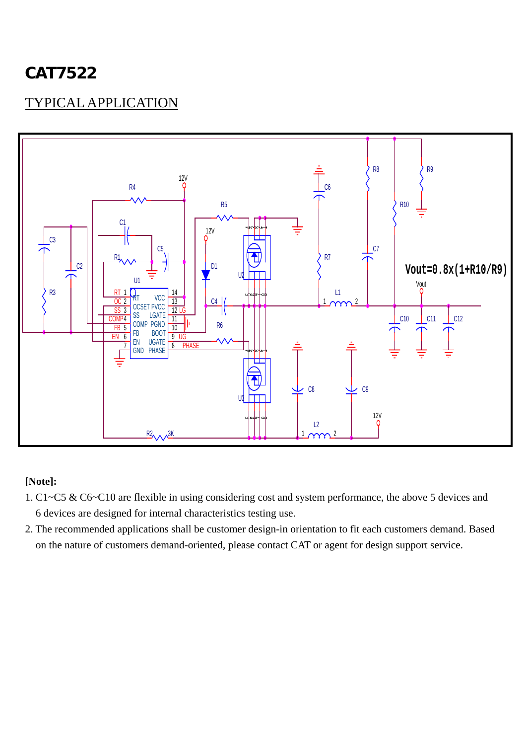# TYPICAL APPLICATION



#### **[Note]:**

- 1. C1~C5 & C6~C10 are flexible in using considering cost and system performance, the above 5 devices and 6 devices are designed for internal characteristics testing use.
- 2. The recommended applications shall be customer design-in orientation to fit each customers demand. Based on the nature of customers demand-oriented, please contact CAT or agent for design support service.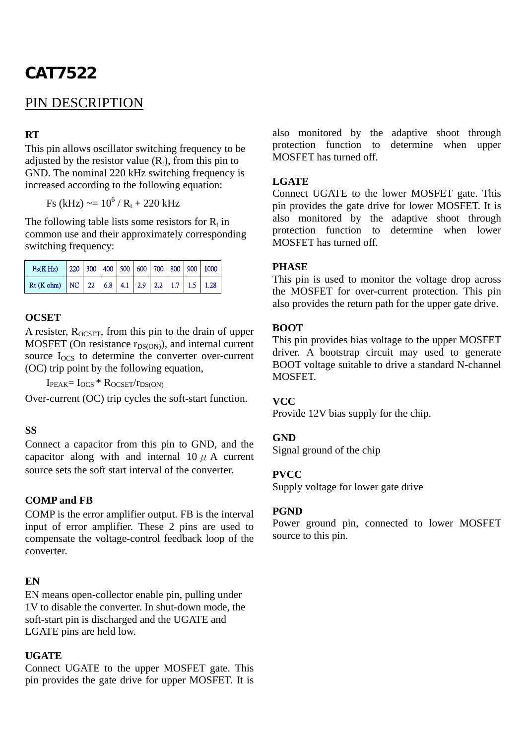## PIN DESCRIPTION

#### **RT**

This pin allows oscillator switching frequency to be adjusted by the resistor value  $(R_t)$ , from this pin to GND. The nominal 220 kHz switching frequency is increased according to the following equation:

Fs (kHz)  $\sim = 10^6 / R_t + 220$  kHz

The following table lists some resistors for  $R_t$  in common use and their approximately corresponding switching frequency:

| $Fs(K Hz)$ 220 300 400 500 600 700 800 900 1000 |  |  |  |  |  |
|-------------------------------------------------|--|--|--|--|--|
| Rt (K ohm) NC 22 6.8 4.1 2.9 2.2 1.7 1.5 1.28   |  |  |  |  |  |

#### **OCSET**

A resister,  $R_{OCSET}$ , from this pin to the drain of upper MOSFET (On resistance  $r_{DS(ON)}$ ), and internal current source  $I<sub>OCS</sub>$  to determine the converter over-current (OC) trip point by the following equation,

 $I_{\text{PEAK}} = I_{\text{OCS}} * R_{\text{OCSET}}/r_{\text{DS}(\text{ON})}$ 

Over-current (OC) trip cycles the soft-start function.

#### **SS**

Connect a capacitor from this pin to GND, and the capacitor along with and internal  $10 \mu$  A current source sets the soft start interval of the converter.

#### **COMP and FB**

COMP is the error amplifier output. FB is the interval input of error amplifier. These 2 pins are used to compensate the voltage-control feedback loop of the converter.

#### **EN**

EN means open-collector enable pin, pulling under 1V to disable the converter. In shut-down mode, the soft-start pin is discharged and the UGATE and LGATE pins are held low.

#### **UGATE**

Connect UGATE to the upper MOSFET gate. This pin provides the gate drive for upper MOSFET. It is also monitored by the adaptive shoot through protection function to determine when upper MOSFET has turned off.

#### **LGATE**

Connect UGATE to the lower MOSFET gate. This pin provides the gate drive for lower MOSFET. It is also monitored by the adaptive shoot through protection function to determine when lower MOSFET has turned off.

#### **PHASE**

This pin is used to monitor the voltage drop across the MOSFET for over-current protection. This pin also provides the return path for the upper gate drive.

#### **BOOT**

This pin provides bias voltage to the upper MOSFET driver. A bootstrap circuit may used to generate BOOT voltage suitable to drive a standard N-channel MOSFET.

#### **VCC**

Provide 12V bias supply for the chip.

#### **GND**

Signal ground of the chip

#### **PVCC**

Supply voltage for lower gate drive

#### **PGND**

Power ground pin, connected to lower MOSFET source to this pin.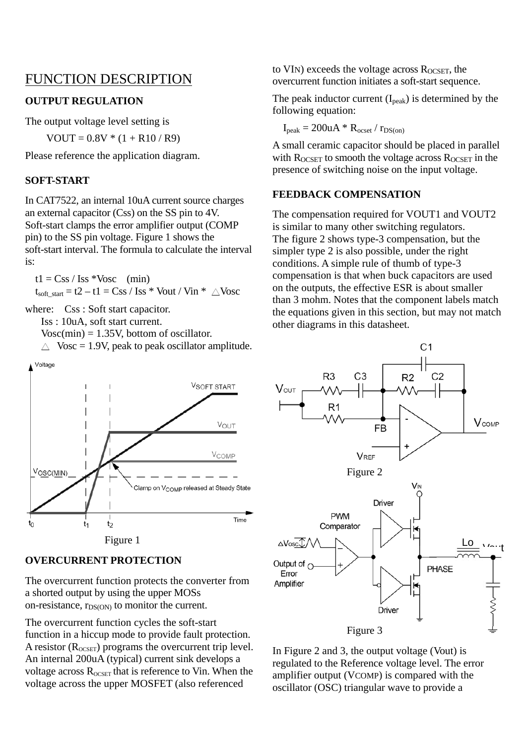### FUNCTION DESCRIPTION

#### **OUTPUT REGULATION**

The output voltage level setting is

 $VOUT = 0.8V * (1 + R10 / R9)$ 

Please reference the application diagram.

#### **SOFT-START**

In CAT7522, an internal 10uA current source charges an external capacitor (Css) on the SS pin to 4V. Soft-start clamps the error amplifier output (COMP pin) to the SS pin voltage. Figure 1 shows the soft-start interval. The formula to calculate the interval is:

 $t1 = Css / Iss *Vosc$  (min)

 $t_{soft\textrm{ start}} = t2 - t1 = Css / Iss * Vout / Vin * \triangle Vosc$ 

where: Css: Soft start capacitor.

Iss : 10uA, soft start current.

 $Vose(min) = 1.35V$ , bottom of oscillator.  $\triangle$  Vosc = 1.9V, peak to peak oscillator amplitude.



#### **OVERCURRENT PROTECTION**

The overcurrent function protects the converter from a shorted output by using the upper MOSs on-resistance,  $r_{DS(ON)}$  to monitor the current.

The overcurrent function cycles the soft-start function in a hiccup mode to provide fault protection. A resistor  $(R_{OCSET})$  programs the overcurrent trip level. An internal 200uA (typical) current sink develops a voltage across  $R_{\text{OCSET}}$  that is reference to Vin. When the voltage across the upper MOSFET (also referenced

to VIN) exceeds the voltage across  $R_{OCSET}$ , the overcurrent function initiates a soft-start sequence.

The peak inductor current  $(I_{peak})$  is determined by the following equation:

$$
I_{peak} = 200uA * R_{ocset} / r_{DS(on)}
$$

A small ceramic capacitor should be placed in parallel with  $R_{OCSET}$  to smooth the voltage across  $R_{OCSET}$  in the presence of switching noise on the input voltage.

#### **FEEDBACK COMPENSATION**

The compensation required for VOUT1 and VOUT2 is similar to many other switching regulators. The figure 2 shows type-3 compensation, but the simpler type 2 is also possible, under the right conditions. A simple rule of thumb of type-3 compensation is that when buck capacitors are used on the outputs, the effective ESR is about smaller than 3 mohm. Notes that the component labels match the equations given in this section, but may not match other diagrams in this datasheet.



In Figure 2 and 3, the output voltage (Vout) is regulated to the Reference voltage level. The error amplifier output (VCOMP) is compared with the oscillator (OSC) triangular wave to provide a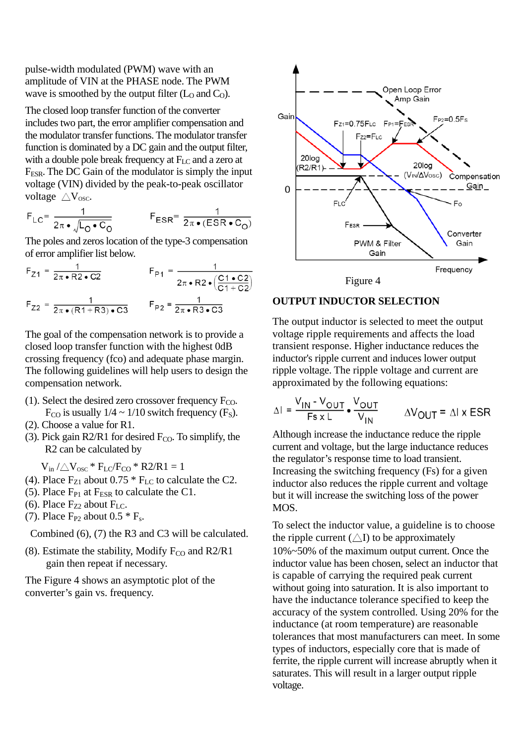pulse-width modulated (PWM) wave with an amplitude of VIN at the PHASE node. The PWM wave is smoothed by the output filter  $(L_0$  and  $C_0$ ).

The closed loop transfer function of the converter includes two part, the error amplifier compensation and the modulator transfer functions. The modulator transfer function is dominated by a DC gain and the output filter, with a double pole break frequency at  $F_{LC}$  and a zero at FESR. The DC Gain of the modulator is simply the input voltage (VIN) divided by the peak-to-peak oscillator voltage  $\triangle V_{\text{osc}}$ .

$$
F_{LC} = \frac{1}{2\pi \cdot \sqrt{L_0 \cdot C_0}} \qquad F_{ESR} = \frac{1}{2\pi \cdot (ESR \cdot C_0)}
$$

The poles and zeros location of the type-3 compensation of error amplifier list below.

$$
F_{Z1} = \frac{1}{2\pi \cdot R2 \cdot C2} \qquad F_{P1} = \frac{1}{2\pi \cdot R2 \cdot \left(\frac{C1 \cdot C2}{C1 + C2}\right)}
$$

$$
F_{Z2} = \frac{1}{2\pi \cdot (R1 + R3) \cdot C3} \qquad F_{P2} = \frac{1}{2\pi \cdot R3 \cdot C3}
$$

The goal of the compensation network is to provide a closed loop transfer function with the highest 0dB crossing frequency (fco) and adequate phase margin. The following guidelines will help users to design the compensation network.

- (1). Select the desired zero crossover frequency  $F_{CO}$ .  $F_{CO}$  is usually  $1/4 \sim 1/10$  switch frequency (F<sub>S</sub>).
- (2). Choose a value for R1.
- (3). Pick gain R2/R1 for desired  $F_{CO}$ . To simplify, the R2 can be calculated by

 $V_{in}$  / $\triangle V_{osc}$  \*  $F_{LC}/F_{CO}$  \* R2/R1 = 1

- (4). Place  $F_{Z1}$  about 0.75  $*$   $F_{LC}$  to calculate the C2.
- (5). Place  $F_{P1}$  at  $F_{ESR}$  to calculate the C1.
- (6). Place  $F_{Z2}$  about  $F_{LC}$ .
- (7). Place  $F_{P2}$  about 0.5  $*$   $F_s$ .

Combined (6), (7) the R3 and C3 will be calculated.

(8). Estimate the stability, Modify  $F_{CO}$  and R2/R1 gain then repeat if necessary.

The Figure 4 shows an asymptotic plot of the converter's gain vs. frequency.





#### **OUTPUT INDUCTOR SELECTION**

The output inductor is selected to meet the output voltage ripple requirements and affects the load transient response. Higher inductance reduces the inductor's ripple current and induces lower output ripple voltage. The ripple voltage and current are approximated by the following equations:

$$
\Delta I = \frac{V_{IN} - V_{OUT}}{F_s \times L} \cdot \frac{V_{OUT}}{V_{IN}} \qquad \Delta V_{OUT} = \Delta I \times ESR
$$

Although increase the inductance reduce the ripple current and voltage, but the large inductance reduces the regulator's response time to load transient. Increasing the switching frequency (Fs) for a given inductor also reduces the ripple current and voltage but it will increase the switching loss of the power MOS.

To select the inductor value, a guideline is to choose the ripple current  $(\triangle I)$  to be approximately 10%~50% of the maximum output current. Once the inductor value has been chosen, select an inductor that is capable of carrying the required peak current without going into saturation. It is also important to have the inductance tolerance specified to keep the accuracy of the system controlled. Using 20% for the inductance (at room temperature) are reasonable tolerances that most manufacturers can meet. In some types of inductors, especially core that is made of ferrite, the ripple current will increase abruptly when it saturates. This will result in a larger output ripple voltage.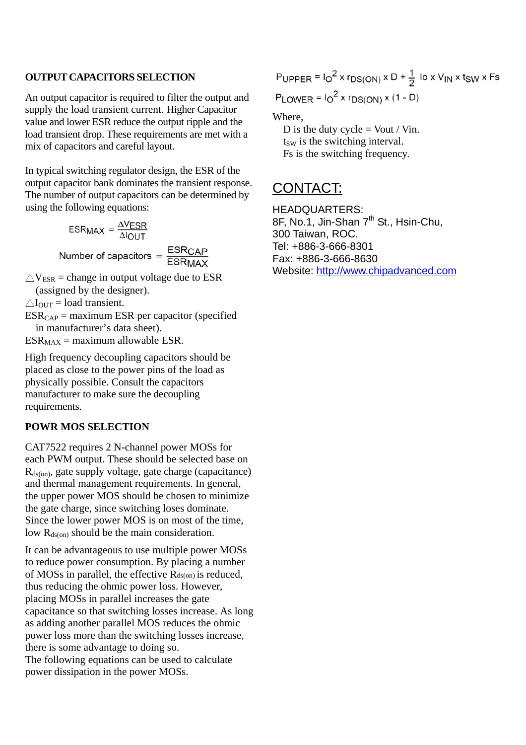#### **OUTPUT CAPACITORS SELECTION**

An output capacitor is required to filter the output and supply the load transient current. Higher Capacitor value and lower ESR reduce the output ripple and the load transient drop. These requirements are met with a mix of capacitors and careful layout.

In typical switching regulator design, the ESR of the output capacitor bank dominates the transient response. The number of output capacitors can be determined by using the following equations:

$$
ESRMAX = \frac{\Delta VESR}{\Delta IOUT}
$$

Number of capacitors =  $\frac{\text{ESRCAP}}{\text{ESRMAX}}$ 

 $\triangle V_{ESR}$  = change in output voltage due to ESR

(assigned by the designer).

 $\triangle I_{\text{OUT}} =$  load transient.

 $ESR_{CAP}$  = maximum ESR per capacitor (specified in manufacturer's data sheet).

 $ESR_{MAX}$  = maximum allowable ESR.

High frequency decoupling capacitors should be placed as close to the power pins of the load as physically possible. Consult the capacitors manufacturer to make sure the decoupling requirements.

#### **POWR MOS SELECTION**

CAT7522 requires 2 N-channel power MOSs for each PWM output. These should be selected base on  $R_{ds(on)}$ , gate supply voltage, gate charge (capacitance) and thermal management requirements. In general, the upper power MOS should be chosen to minimize the gate charge, since switching loses dominate. Since the lower power MOS is on most of the time, low  $R_{ds(0n)}$  should be the main consideration.

It can be advantageous to use multiple power MOSs to reduce power consumption. By placing a number of MOSs in parallel, the effective Rds(on) is reduced, thus reducing the ohmic power loss. However, placing MOSs in parallel increases the gate capacitance so that switching losses increase. As long as adding another parallel MOS reduces the ohmic power loss more than the switching losses increase, there is some advantage to doing so. The following equations can be used to calculate power dissipation in the power MOSs.

PUPPER =  $I_0^2$  x  $r_{DS(ON)}$  x D +  $\frac{1}{2}$  lo x V<sub>IN</sub> x t<sub>SW</sub> x Fs PLOWER =  $I_0^2$  x  $r_{DS(ON)}$  x (1 - D)

Where,

D is the duty cycle  $=$  Vout / Vin.  $t<sub>SW</sub>$  is the switching interval. Fs is the switching frequency.

## CONTACT:

HEADQUARTERS: 8F, No.1, Jin-Shan 7<sup>th</sup> St., Hsin-Chu, 300 Taiwan, ROC. Tel: +886-3-666-8301 Fax: +886-3-666-8630 Website: http://www.chipadvanced.com